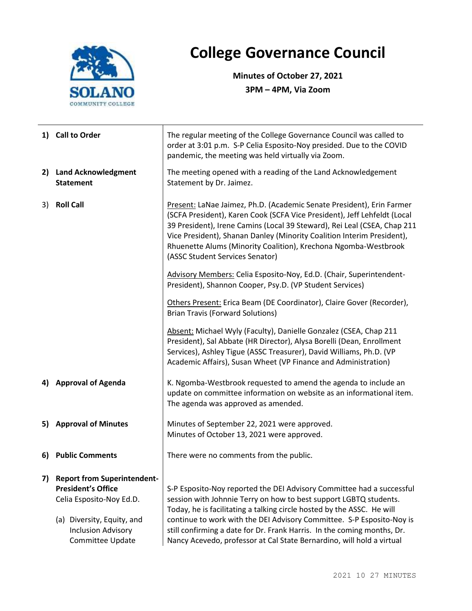

## **College Governance Council**

**Minutes of October 27, 2021 3PM – 4PM, Via Zoom**

|                                                                                                                      | 1) Call to Order                                                                                                                                                           | The regular meeting of the College Governance Council was called to<br>order at 3:01 p.m. S-P Celia Esposito-Noy presided. Due to the COVID<br>pandemic, the meeting was held virtually via Zoom.                                                                                                                                                                                                                                                 |  |  |
|----------------------------------------------------------------------------------------------------------------------|----------------------------------------------------------------------------------------------------------------------------------------------------------------------------|---------------------------------------------------------------------------------------------------------------------------------------------------------------------------------------------------------------------------------------------------------------------------------------------------------------------------------------------------------------------------------------------------------------------------------------------------|--|--|
| 2)                                                                                                                   | <b>Land Acknowledgment</b><br><b>Statement</b>                                                                                                                             | The meeting opened with a reading of the Land Acknowledgement<br>Statement by Dr. Jaimez.                                                                                                                                                                                                                                                                                                                                                         |  |  |
| 3)                                                                                                                   | <b>Roll Call</b>                                                                                                                                                           | Present: LaNae Jaimez, Ph.D. (Academic Senate President), Erin Farmer<br>(SCFA President), Karen Cook (SCFA Vice President), Jeff Lehfeldt (Local<br>39 President), Irene Camins (Local 39 Steward), Rei Leal (CSEA, Chap 211<br>Vice President), Shanan Danley (Minority Coalition Interim President),<br>Rhuenette Alums (Minority Coalition), Krechona Ngomba-Westbrook<br>(ASSC Student Services Senator)                                     |  |  |
|                                                                                                                      |                                                                                                                                                                            | Advisory Members: Celia Esposito-Noy, Ed.D. (Chair, Superintendent-<br>President), Shannon Cooper, Psy.D. (VP Student Services)                                                                                                                                                                                                                                                                                                                   |  |  |
|                                                                                                                      |                                                                                                                                                                            | Others Present: Erica Beam (DE Coordinator), Claire Gover (Recorder),<br><b>Brian Travis (Forward Solutions)</b>                                                                                                                                                                                                                                                                                                                                  |  |  |
|                                                                                                                      |                                                                                                                                                                            | Absent: Michael Wyly (Faculty), Danielle Gonzalez (CSEA, Chap 211<br>President), Sal Abbate (HR Director), Alysa Borelli (Dean, Enrollment<br>Services), Ashley Tigue (ASSC Treasurer), David Williams, Ph.D. (VP<br>Academic Affairs), Susan Wheet (VP Finance and Administration)                                                                                                                                                               |  |  |
|                                                                                                                      | 4) Approval of Agenda                                                                                                                                                      | K. Ngomba-Westbrook requested to amend the agenda to include an<br>update on committee information on website as an informational item.<br>The agenda was approved as amended.                                                                                                                                                                                                                                                                    |  |  |
| 5) Approval of Minutes<br>Minutes of September 22, 2021 were approved.<br>Minutes of October 13, 2021 were approved. |                                                                                                                                                                            |                                                                                                                                                                                                                                                                                                                                                                                                                                                   |  |  |
| 6)                                                                                                                   | <b>Public Comments</b>                                                                                                                                                     | There were no comments from the public.                                                                                                                                                                                                                                                                                                                                                                                                           |  |  |
| 7)                                                                                                                   | <b>Report from Superintendent-</b><br><b>President's Office</b><br>Celia Esposito-Noy Ed.D.<br>(a) Diversity, Equity, and<br><b>Inclusion Advisory</b><br>Committee Update | S-P Esposito-Noy reported the DEI Advisory Committee had a successful<br>session with Johnnie Terry on how to best support LGBTQ students.<br>Today, he is facilitating a talking circle hosted by the ASSC. He will<br>continue to work with the DEI Advisory Committee. S-P Esposito-Noy is<br>still confirming a date for Dr. Frank Harris. In the coming months, Dr.<br>Nancy Acevedo, professor at Cal State Bernardino, will hold a virtual |  |  |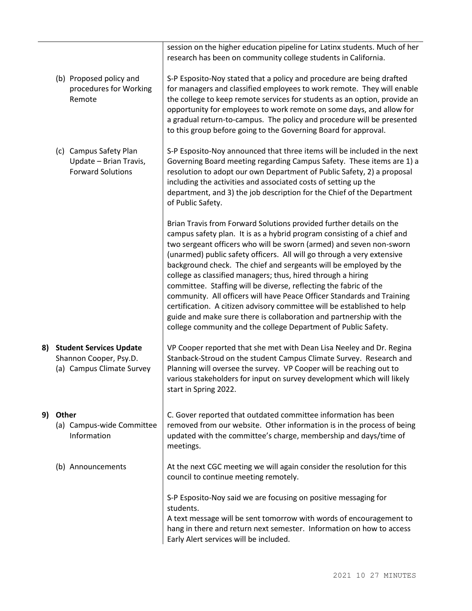|                                |                                                                                       | session on the higher education pipeline for Latinx students. Much of her<br>research has been on community college students in California.                                                                                                                                                                                                                                                                                                                                                                                                                                                                                                                                                                                                                                                             |  |
|--------------------------------|---------------------------------------------------------------------------------------|---------------------------------------------------------------------------------------------------------------------------------------------------------------------------------------------------------------------------------------------------------------------------------------------------------------------------------------------------------------------------------------------------------------------------------------------------------------------------------------------------------------------------------------------------------------------------------------------------------------------------------------------------------------------------------------------------------------------------------------------------------------------------------------------------------|--|
|                                | (b) Proposed policy and<br>procedures for Working<br>Remote                           | S-P Esposito-Noy stated that a policy and procedure are being drafted<br>for managers and classified employees to work remote. They will enable<br>the college to keep remote services for students as an option, provide an<br>opportunity for employees to work remote on some days, and allow for<br>a gradual return-to-campus. The policy and procedure will be presented<br>to this group before going to the Governing Board for approval.                                                                                                                                                                                                                                                                                                                                                       |  |
|                                | (c) Campus Safety Plan<br>Update - Brian Travis,<br><b>Forward Solutions</b>          | S-P Esposito-Noy announced that three items will be included in the next<br>Governing Board meeting regarding Campus Safety. These items are 1) a<br>resolution to adopt our own Department of Public Safety, 2) a proposal<br>including the activities and associated costs of setting up the<br>department, and 3) the job description for the Chief of the Department<br>of Public Safety.                                                                                                                                                                                                                                                                                                                                                                                                           |  |
|                                |                                                                                       | Brian Travis from Forward Solutions provided further details on the<br>campus safety plan. It is as a hybrid program consisting of a chief and<br>two sergeant officers who will be sworn (armed) and seven non-sworn<br>(unarmed) public safety officers. All will go through a very extensive<br>background check. The chief and sergeants will be employed by the<br>college as classified managers; thus, hired through a hiring<br>committee. Staffing will be diverse, reflecting the fabric of the<br>community. All officers will have Peace Officer Standards and Training<br>certification. A citizen advisory committee will be established to help<br>guide and make sure there is collaboration and partnership with the<br>college community and the college Department of Public Safety. |  |
| 8)                             | <b>Student Services Update</b><br>Shannon Cooper, Psy.D.<br>(a) Campus Climate Survey | VP Cooper reported that she met with Dean Lisa Neeley and Dr. Regina<br>Stanback-Stroud on the student Campus Climate Survey. Research and<br>Planning will oversee the survey. VP Cooper will be reaching out to<br>various stakeholders for input on survey development which will likely<br>start in Spring 2022.                                                                                                                                                                                                                                                                                                                                                                                                                                                                                    |  |
| 9)                             | Other<br>(a) Campus-wide Committee<br>Information                                     | C. Gover reported that outdated committee information has been<br>removed from our website. Other information is in the process of being<br>updated with the committee's charge, membership and days/time of<br>meetings.                                                                                                                                                                                                                                                                                                                                                                                                                                                                                                                                                                               |  |
| (b) Announcements<br>students. |                                                                                       | At the next CGC meeting we will again consider the resolution for this<br>council to continue meeting remotely.                                                                                                                                                                                                                                                                                                                                                                                                                                                                                                                                                                                                                                                                                         |  |
|                                |                                                                                       | S-P Esposito-Noy said we are focusing on positive messaging for                                                                                                                                                                                                                                                                                                                                                                                                                                                                                                                                                                                                                                                                                                                                         |  |
|                                |                                                                                       | A text message will be sent tomorrow with words of encouragement to<br>hang in there and return next semester. Information on how to access<br>Early Alert services will be included.                                                                                                                                                                                                                                                                                                                                                                                                                                                                                                                                                                                                                   |  |